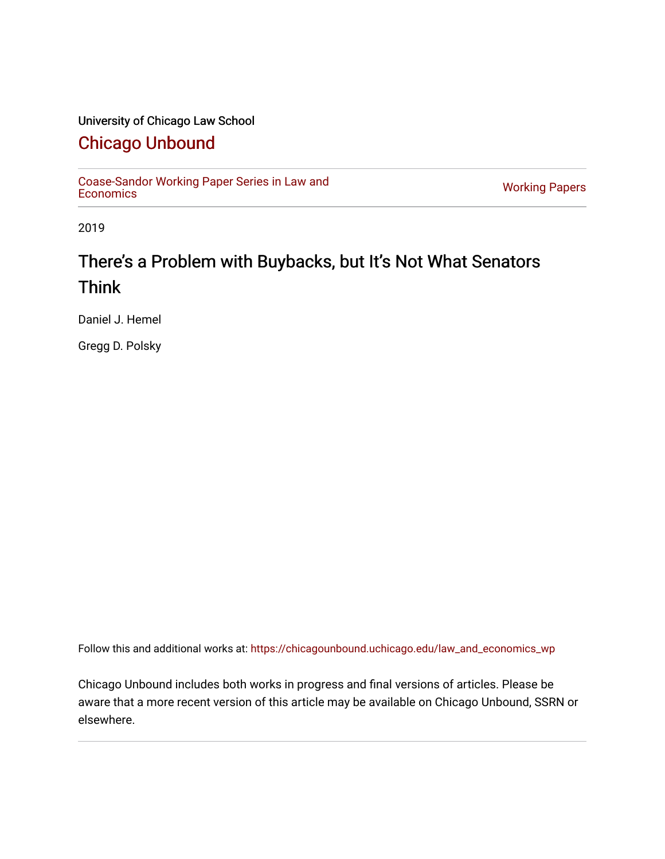#### University of Chicago Law School

### [Chicago Unbound](https://chicagounbound.uchicago.edu/)

[Coase-Sandor Working Paper Series in Law and](https://chicagounbound.uchicago.edu/law_and_economics_wp) [Economics](https://chicagounbound.uchicago.edu/law_and_economics_wp) [Working Papers](https://chicagounbound.uchicago.edu/working_papers) 

2019

### There's a Problem with Buybacks, but It's Not What Senators Think

Daniel J. Hemel

Gregg D. Polsky

Follow this and additional works at: [https://chicagounbound.uchicago.edu/law\\_and\\_economics\\_wp](https://chicagounbound.uchicago.edu/law_and_economics_wp?utm_source=chicagounbound.uchicago.edu%2Flaw_and_economics_wp%2F61&utm_medium=PDF&utm_campaign=PDFCoverPages) 

Chicago Unbound includes both works in progress and final versions of articles. Please be aware that a more recent version of this article may be available on Chicago Unbound, SSRN or elsewhere.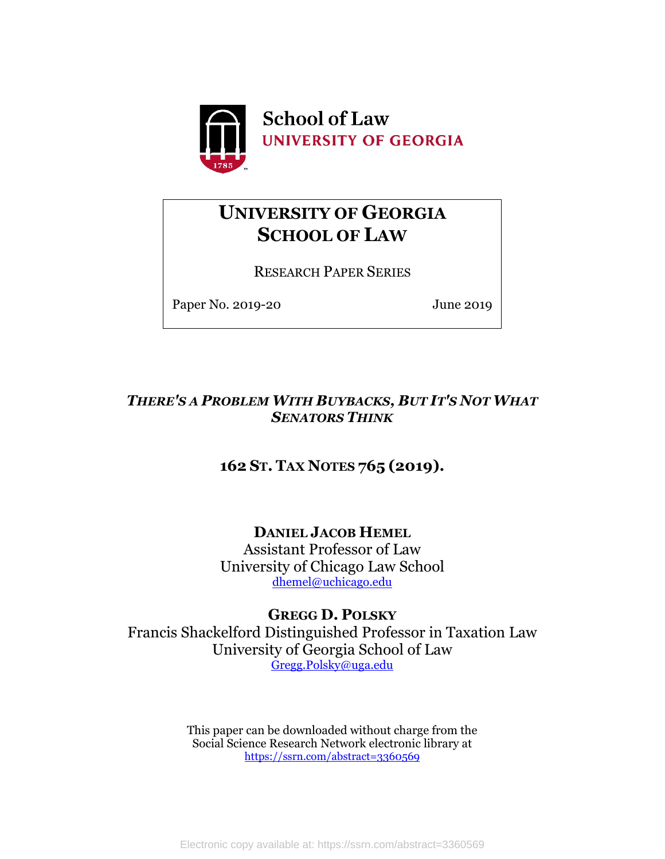

### **UNIVERSITY OF GEORGIA SCHOOL OF LAW**

RESEARCH PAPER SERIES

Paper No. 2019-20 June 2019

### *THERE'S A PROBLEM WITH BUYBACKS, BUT IT'S NOT WHAT SENATORS THINK*

### **162 ST. TAX NOTES 765 (2019).**

**DANIEL JACOB HEMEL**

Assistant Professor of Law University of Chicago Law School [dhemel@uchicago.edu](mailto:dhemel@uchicago.edu)

### **GREGG D. POLSKY**

Francis Shackelford Distinguished Professor in Taxation Law University of Georgia School of Law [Gregg.Polsky@uga.edu](mailto:Gregg.Polsky@uga.edu)

> This paper can be downloaded without charge from the Social Science Research Network electronic library at <https://ssrn.com/abstract=3360569>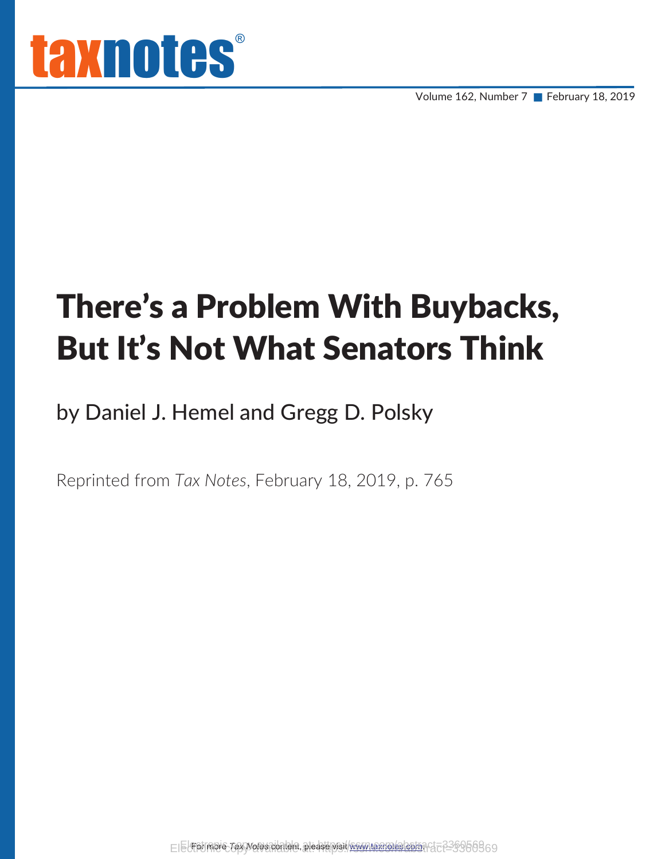Volume 162, Number 7 February 18, 2019

# There's a Problem With Buybacks, But It's Not What Senators Think

by Daniel J. Hemel and Gregg D. Polsky

Reprinted from *Tax Notes*, February 18, 2019, p. 765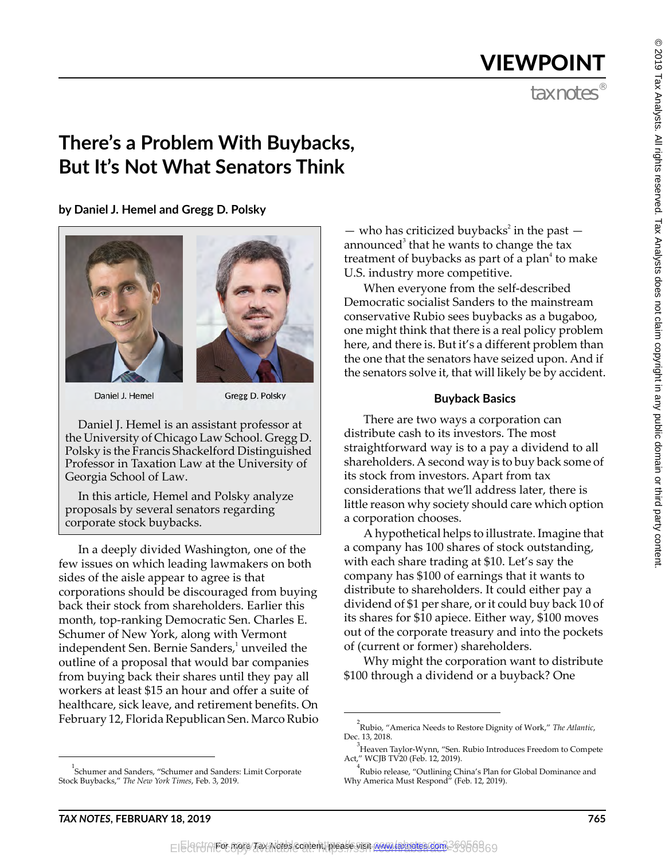## VIEWPOINT

### **There's a Problem With Buybacks, But It's Not What Senators Think**

**by Daniel J. Hemel and Gregg D. Polsky**





Daniel J. Hemel

Gregg D. Polsky

Daniel J. Hemel is an assistant professor at the University of Chicago Law School. Gregg D. Polsky is the Francis Shackelford Distinguished Professor in Taxation Law at the University of Georgia School of Law.

In this article, Hemel and Polsky analyze proposals by several senators regarding corporate stock buybacks.

In a deeply divided Washington, one of the few issues on which leading lawmakers on both sides of the aisle appear to agree is that corporations should be discouraged from buying back their stock from shareholders. Earlier this month, top-ranking Democratic Sen. Charles E. Schumer of New York, along with Vermont independent Sen. Bernie Sanders, $^1$  unveiled the outline of a proposal that would bar companies from buying back their shares until they pay all workers at least \$15 an hour and offer a suite of healthcare, sick leave, and retirement benefits. On February 12, Florida Republican Sen. Marco Rubio

— who has criticized buybacks<sup>2</sup> in the past announced<sup>3</sup> that he wants to change the tax treatment of buybacks as part of a plan<sup>4</sup> to make U.S. industry more competitive.

When everyone from the self-described Democratic socialist Sanders to the mainstream conservative Rubio sees buybacks as a bugaboo, one might think that there is a real policy problem here, and there is. But it's a different problem than the one that the senators have seized upon. And if the senators solve it, that will likely be by accident.

### **Buyback Basics**

There are two ways a corporation can distribute cash to its investors. The most straightforward way is to a pay a dividend to all shareholders. A second way is to buy back some of its stock from investors. Apart from tax considerations that we'll address later, there is little reason why society should care which option a corporation chooses.

A hypothetical helps to illustrate. Imagine that a company has 100 shares of stock outstanding, with each share trading at \$10. Let's say the company has \$100 of earnings that it wants to distribute to shareholders. It could either pay a dividend of \$1 per share, or it could buy back 10 of its shares for \$10 apiece. Either way, \$100 moves out of the corporate treasury and into the pockets of (current or former) shareholders.

Why might the corporation want to distribute \$100 through a dividend or a buyback? One

<sup>1</sup> Schumer and Sanders, "Schumer and Sanders: Limit Corporate Stock Buybacks," *The New York Times*, Feb. 3, 2019.

<sup>2</sup> Rubio, "America Needs to Restore Dignity of Work," *The Atlantic*, Dec. 13, 2018.

<sup>&</sup>lt;sup>3</sup> Heaven Taylor-Wynn, "Sen. Rubio Introduces Freedom to Compete Act," WCJB TV20 (Feb. 12, 2019).

<sup>4</sup> Rubio release, "Outlining China's Plan for Global Dominance and Why America Must Respond" (Feb. 12, 2019).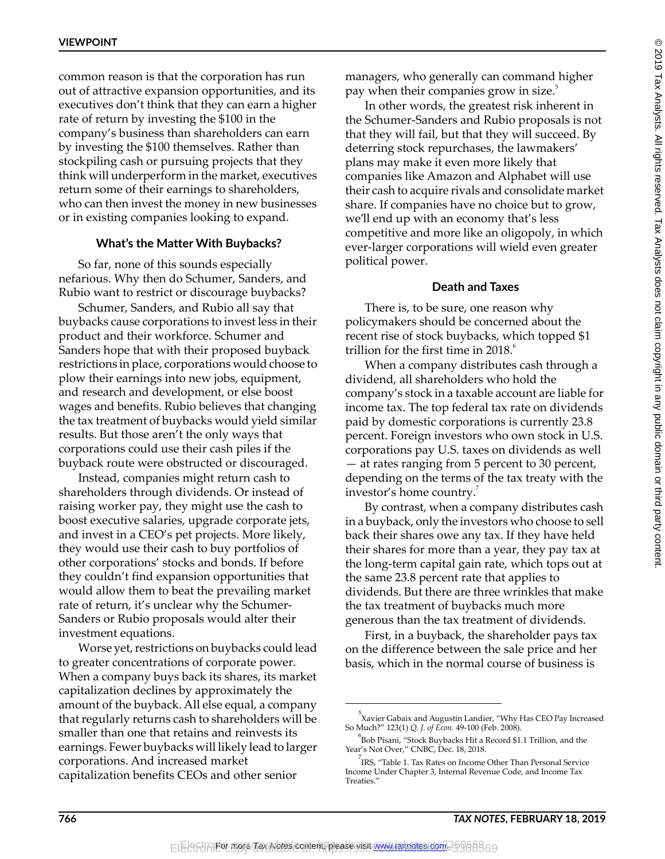common reason is that the corporation has run out of attractive expansion opportunities, and its executives don't think that they can earn a higher rate of return by investing the \$100 in the company's business than shareholders can earn by investing the \$100 themselves. Rather than stockpiling cash or pursuing projects that they think will underperform in the market, executives return some of their earnings to shareholders, who can then invest the money in new businesses or in existing companies looking to expand.

#### **What's the Matter With Buybacks?**

So far, none of this sounds especially nefarious. Why then do Schumer, Sanders, and Rubio want to restrict or discourage buybacks?

Schumer, Sanders, and Rubio all say that buybacks cause corporations to invest less in their product and their workforce. Schumer and Sanders hope that with their proposed buyback restrictions in place, corporations would choose to plow their earnings into new jobs, equipment, and research and development, or else boost wages and benefits. Rubio believes that changing the tax treatment of buybacks would yield similar results. But those aren't the only ways that corporations could use their cash piles if the buyback route were obstructed or discouraged.

Instead, companies might return cash to shareholders through dividends. Or instead of raising worker pay, they might use the cash to boost executive salaries, upgrade corporate jets, and invest in a CEO's pet projects. More likely, they would use their cash to buy portfolios of other corporations' stocks and bonds. If before they couldn't find expansion opportunities that would allow them to beat the prevailing market rate of return, it's unclear why the Schumer-Sanders or Rubio proposals would alter their investment equations.

Worse yet, restrictions on buybacks could lead to greater concentrations of corporate power. When a company buys back its shares, its market capitalization declines by approximately the amount of the buyback. All else equal, a company that regularly returns cash to shareholders will be smaller than one that retains and reinvests its earnings. Fewer buybacks will likely lead to larger corporations. And increased market capitalization benefits CEOs and other senior

managers, who generally can command higher pay when their companies grow in size.<sup>5</sup>

In other words, the greatest risk inherent in the Schumer-Sanders and Rubio proposals is not that they will fail, but that they will succeed. By deterring stock repurchases, the lawmakers' plans may make it even more likely that companies like Amazon and Alphabet will use their cash to acquire rivals and consolidate market share. If companies have no choice but to grow, we'll end up with an economy that's less competitive and more like an oligopoly, in which ever-larger corporations will wield even greater political power.

#### **Death and Taxes**

There is, to be sure, one reason why policymakers should be concerned about the recent rise of stock buybacks, which topped \$1 trillion for the first time in  $2018$ . $\degree$ 

When a company distributes cash through a dividend, all shareholders who hold the company's stock in a taxable account are liable for income tax. The top federal tax rate on dividends paid by domestic corporations is currently 23.8 percent. Foreign investors who own stock in U.S. corporations pay U.S. taxes on dividends as well — at rates ranging from 5 percent to 30 percent, depending on the terms of the tax treaty with the investor's home country.

By contrast, when a company distributes cash in a buyback, only the investors who choose to sell back their shares owe any tax. If they have held their shares for more than a year, they pay tax at the long-term capital gain rate, which tops out at the same 23.8 percent rate that applies to dividends. But there are three wrinkles that make the tax treatment of buybacks much more generous than the tax treatment of dividends.

First, in a buyback, the shareholder pays tax on the difference between the sale price and her basis, which in the normal course of business is

<sup>&</sup>lt;sup>5</sup>Xavier Gabaix and Augustin Landier, "Why Has CEO Pay Increased So Much?" 123(1) *Q. J. of Econ.* 49-100 (Feb. 2008).

<sup>6</sup> Bob Pisani, "Stock Buybacks Hit a Record \$1.1 Trillion, and the Year's Not Over," CNBC, Dec. 18, 2018.

 $^{7}$ IRS, "Table 1. Tax Rates on Income Other Than Personal Service Income Under Chapter 3, Internal Revenue Code, and Income Tax Treaties."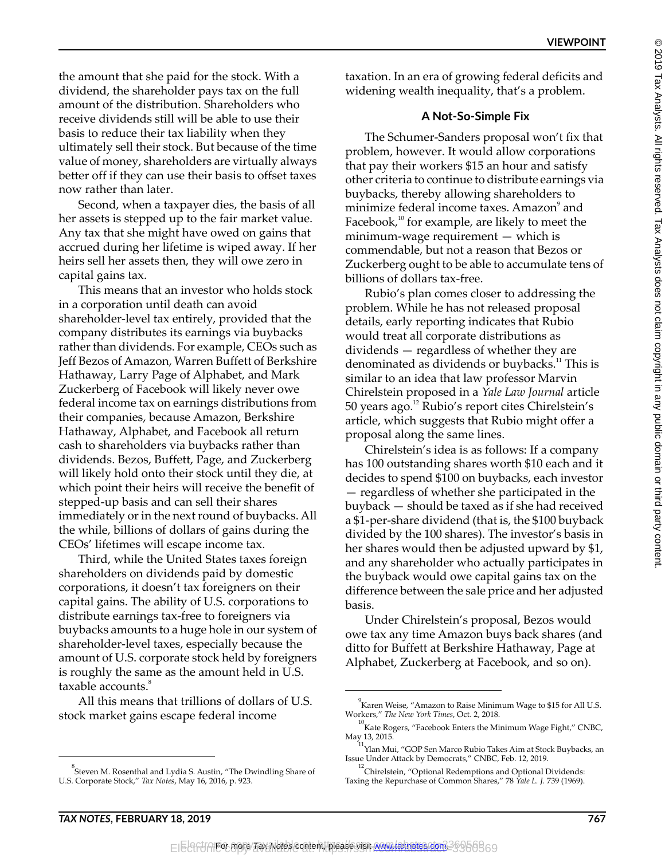the amount that she paid for the stock. With a dividend, the shareholder pays tax on the full amount of the distribution. Shareholders who receive dividends still will be able to use their basis to reduce their tax liability when they ultimately sell their stock. But because of the time value of money, shareholders are virtually always better off if they can use their basis to offset taxes now rather than later.

Second, when a taxpayer dies, the basis of all her assets is stepped up to the fair market value. Any tax that she might have owed on gains that accrued during her lifetime is wiped away. If her heirs sell her assets then, they will owe zero in capital gains tax.

This means that an investor who holds stock in a corporation until death can avoid shareholder-level tax entirely, provided that the company distributes its earnings via buybacks rather than dividends. For example, CEOs such as Jeff Bezos of Amazon, Warren Buffett of Berkshire Hathaway, Larry Page of Alphabet, and Mark Zuckerberg of Facebook will likely never owe federal income tax on earnings distributions from their companies, because Amazon, Berkshire Hathaway, Alphabet, and Facebook all return cash to shareholders via buybacks rather than dividends. Bezos, Buffett, Page, and Zuckerberg will likely hold onto their stock until they die, at which point their heirs will receive the benefit of stepped-up basis and can sell their shares immediately or in the next round of buybacks. All the while, billions of dollars of gains during the CEOs' lifetimes will escape income tax.

Third, while the United States taxes foreign shareholders on dividends paid by domestic corporations, it doesn't tax foreigners on their capital gains. The ability of U.S. corporations to distribute earnings tax-free to foreigners via buybacks amounts to a huge hole in our system of shareholder-level taxes, especially because the amount of U.S. corporate stock held by foreigners is roughly the same as the amount held in U.S. taxable accounts.<sup>8</sup>

All this means that trillions of dollars of U.S. stock market gains escape federal income

taxation. In an era of growing federal deficits and widening wealth inequality, that's a problem.

#### **A Not-So-Simple Fix**

The Schumer-Sanders proposal won't fix that problem, however. It would allow corporations that pay their workers \$15 an hour and satisfy other criteria to continue to distribute earnings via buybacks, thereby allowing shareholders to minimize federal income taxes. Amazon $^\circ$  and Facebook, $10$  for example, are likely to meet the minimum-wage requirement — which is commendable, but not a reason that Bezos or Zuckerberg ought to be able to accumulate tens of billions of dollars tax-free.

Rubio's plan comes closer to addressing the problem. While he has not released proposal details, early reporting indicates that Rubio would treat all corporate distributions as dividends — regardless of whether they are denominated as dividends or buybacks.<sup>11</sup> This is similar to an idea that law professor Marvin Chirelstein proposed in a *Yale Law Journal* article 50 years ago.<sup>12</sup> Rubio's report cites Chirelstein's article, which suggests that Rubio might offer a proposal along the same lines.

Chirelstein's idea is as follows: If a company has 100 outstanding shares worth \$10 each and it decides to spend \$100 on buybacks, each investor — regardless of whether she participated in the buyback — should be taxed as if she had received a \$1-per-share dividend (that is, the \$100 buyback divided by the 100 shares). The investor's basis in her shares would then be adjusted upward by \$1, and any shareholder who actually participates in the buyback would owe capital gains tax on the difference between the sale price and her adjusted basis.

Under Chirelstein's proposal, Bezos would owe tax any time Amazon buys back shares (and ditto for Buffett at Berkshire Hathaway, Page at Alphabet, Zuckerberg at Facebook, and so on).

<sup>&</sup>lt;sup>8</sup><br>Steven M. Rosenthal and Lydia S. Austin, "The Dwindling Share of U.S. Corporate Stock," *Tax Notes*, May 16, 2016, p. 923.

<sup>9</sup> Karen Weise, "Amazon to Raise Minimum Wage to \$15 for All U.S. Workers," *The New York Times*, Oct. 2, 2018.

 $^{10}$ Kate Rogers, "Facebook Enters the Minimum Wage Fight," CNBC, May 13, 2015.

<sup>&</sup>lt;sup>11</sup>Ylan Mui, "GOP Sen Marco Rubio Takes Aim at Stock Buybacks, an Issue Under Attack by Democrats," CNBC, Feb. 12, 2019.

 $12$ Chirelstein, "Optional Redemptions and Optional Dividends: Taxing the Repurchase of Common Shares," 78 *Yale L. J.* 739 (1969).